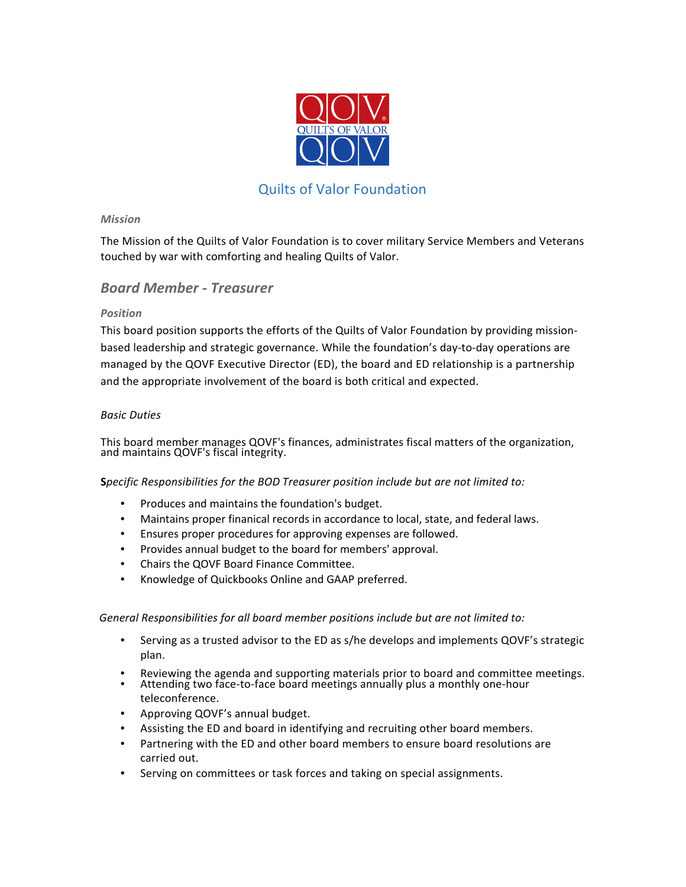

# Quilts of Valor Foundation

### *Mission*

The Mission of the Quilts of Valor Foundation is to cover military Service Members and Veterans touched by war with comforting and healing Quilts of Valor.

# *Board Member - Treasurer*

# *Position*

This board position supports the efforts of the Quilts of Valor Foundation by providing missionbased leadership and strategic governance. While the foundation's day-to-day operations are managed by the QOVF Executive Director (ED), the board and ED relationship is a partnership and the appropriate involvement of the board is both critical and expected.

#### *Basic Duties*

This board member manages QOVF's finances, administrates fiscal matters of the organization, and maintains QOVF's fiscal integrity.

# **S***pecific* Responsibilities for the BOD Treasurer position include but are not limited to:

- Produces and maintains the foundation's budget.
- Maintains proper finanical records in accordance to local, state, and federal laws.
- Ensures proper procedures for approving expenses are followed.
- Provides annual budget to the board for members' approval.
- Chairs the QOVF Board Finance Committee.
- Knowledge of Quickbooks Online and GAAP preferred.

#### General Responsibilities for all board member positions include but are not limited to:

- Serving as a trusted advisor to the ED as s/he develops and implements QOVF's strategic plan.
- Reviewing the agenda and supporting materials prior to board and committee meetings.
- Attending two face-to-face board meetings annually plus a monthly one-hour teleconference.
- Approving QOVF's annual budget.
- Assisting the ED and board in identifying and recruiting other board members.
- Partnering with the ED and other board members to ensure board resolutions are carried out.
- Serving on committees or task forces and taking on special assignments.